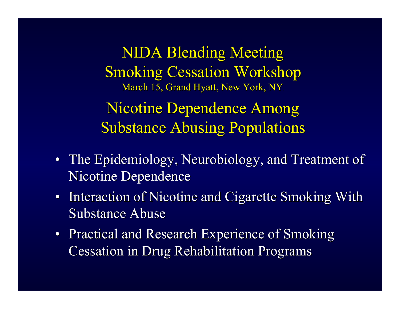NIDA Blending Meeting **Smoking Cessation Workshop** March 15, Grand Hyatt, New York, NY. Nicotine Dependence Among **Substance Abusing Populations** 

- The Epidemiology, Neurobiology, and Treatment of Nicotine Dependence
- Interaction of Nicotine and Cigarette Smoking With Substance Abuse
- Practical and Research Experience of Smoking **Cessation in Drug Rehabilitation Programs**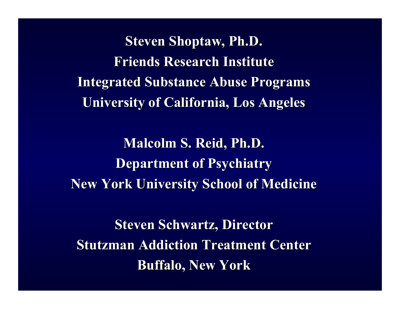**Steven Shoptaw, Ph.D. Friends Research Institute Friends Research InstituteIntegrated Substance Abuse Programs Integrated Substance Abuse Programs University of California, Los Angeles University of California, Los Angeles**

**Malcolm S. Reid, Ph.D. Department of Psychiatry Department of Psychiatry New York University School of Medicine** 

**Steven Schwartz, Director Stutzman Addiction Treatment Center Buffalo, New Buffalo, New York**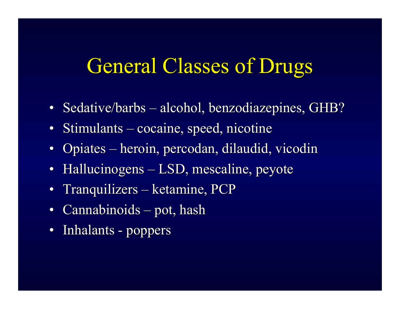#### General Classes of Drugs

- Sedative/barbs  $-$ – alcohol, benzodiazepines, GHB?
- Stimulants – cocaine, speed, nicotine
- •• Opiates  $\mathcal{L}_{\mathcal{A}}$ – heroin, percodan, dilaudid, vicodin
- Hallucinogens  $-\, {\rm LSD},\, {\rm mescaline},\, {\rm peyote}$
- Tranquilizers  $\cdot$ – ketam ine, P C P
- $\bullet$ • Cannabinoids  $-$  pot, hash
- $\bullet$ • Inhalants - poppers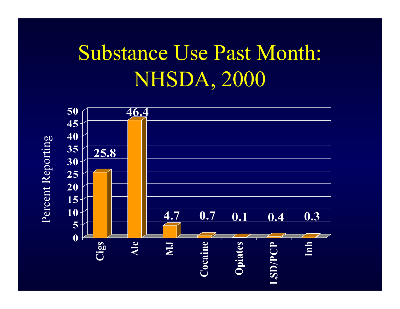## Substance Use Past Month: **NHSDA, 2000**

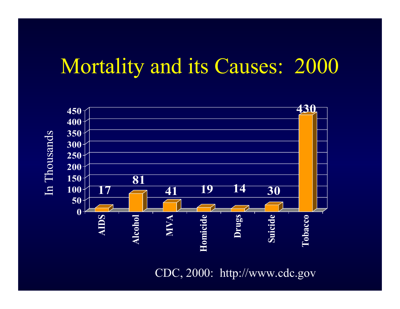#### Mortality and its Causes: 2000



CDC, 2000: http://www.cdc.gov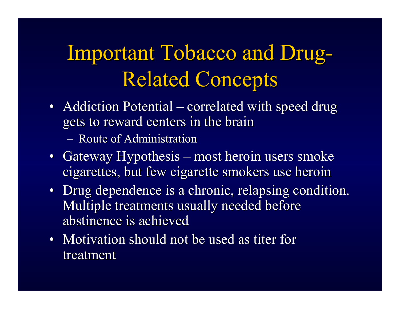# Important Tobacco and Drug **Related Concepts**

• Addiction Potential – – correlated with speed drug gets to reward centers in the brain

– Route of Administration

- Gateway Hypothesis Gateway Hypothesis – most heroin users smoke cigarettes, but few cigarette smokers use heroin
- Drug dependence is a chronic, relapsing condition. Multiple treatments usually needed before abstinence is achieved
- Motivation should not be used as titer for treatment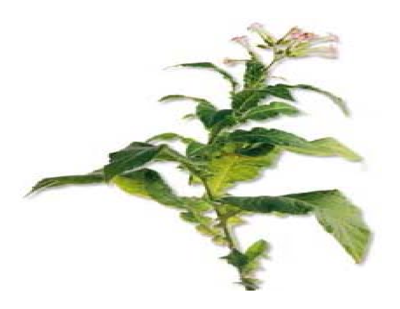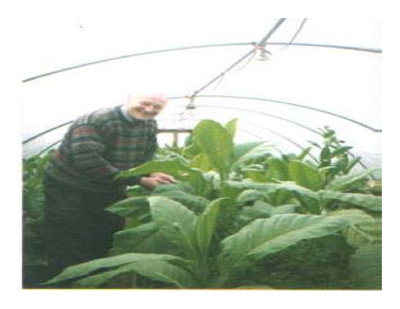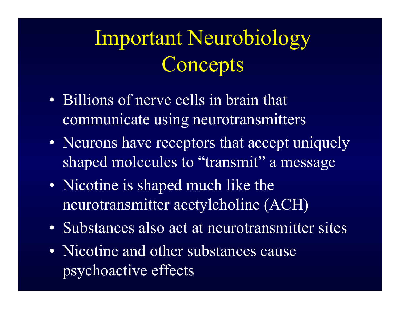# Important Neurobiology **Concepts**

- •• Billions of nerve cells in brain that communicate using neurotransmitters
- •• Neurons have receptors that accept uniquely shaped molecules t <sup>o</sup>"transmit" a message
- •• Nicotine is shaped much like the neurotransmitter acetylcholine (ACH)
- •• Substances also act at neurotransmitter sites
- •• Nicotine and other substances cause psychoactive effects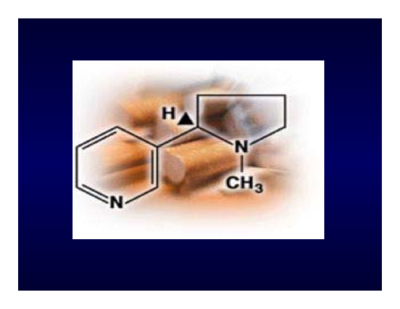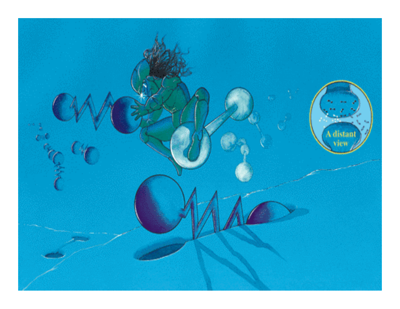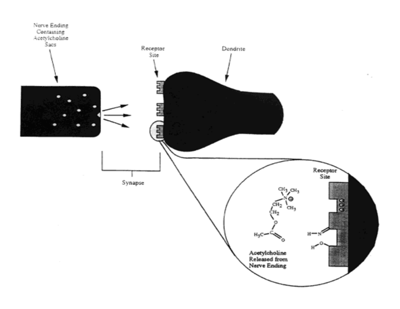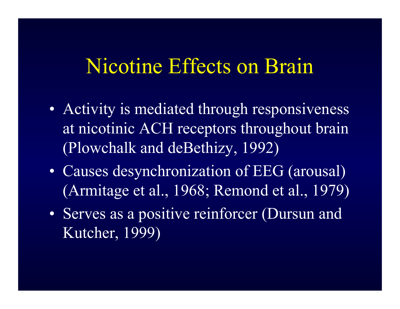#### Nicotine Effects on Brain

- •• Activity is mediated through responsiveness at nicotinic ACH receptors throughout brain (Plowchalk and deBethizy, 1992)
- $\bullet$ • Causes desynchronization of EEG (arousal) (Armitage et al., 1968; Remond et al., 1979)
- •• Serves as a positive reinforcer (Dursun and Kutcher, 1999)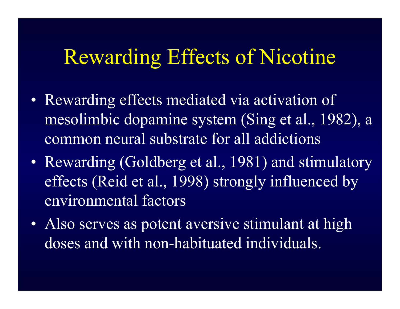### Rewarding Effects of Nicotine

- •• Rewarding effects mediated via activation of mesolimbic dopamine system (Sing et al., 1982), a common neural substrate for all addictions
- $\bullet$ • Rewarding (Goldberg et al., 1981) and stimulatory effects ( Reid et al., 1998) s trongly i nfluenced by envir onmental factors
- $\bullet$ • Also serves as potent aversive stimulant at high doses and with non-habituated individuals.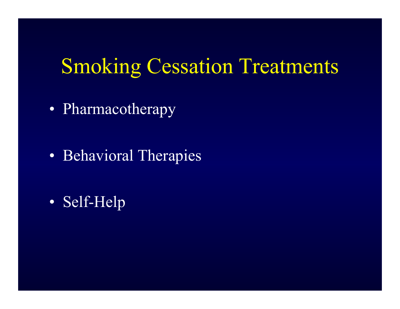#### Smoking Cessation Treatments

•• Pharmacotherapy

•• Behavioral Therapies

• Self-Help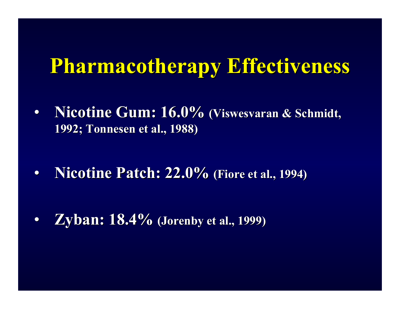#### **Pharmacotherapy Effectiveness Pharmacotherapy Effectiveness**

•• Nicotine Gum: 16.0% (Viswesvaran & Schmidt, **1992; Tonnesen et al., 1988)** 

•**Nicotine Patch: 22.0%** (Fiore et al., 1994)

•**•** Zyban: 18.4% (Jorenby et al., 1999)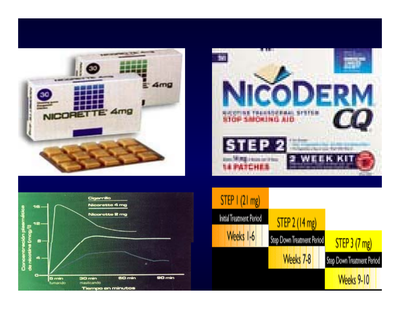





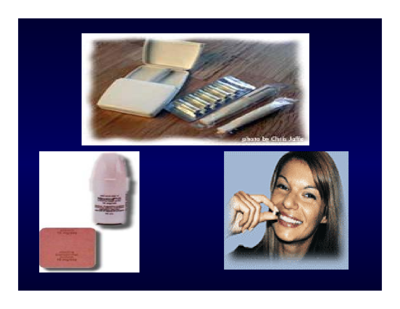



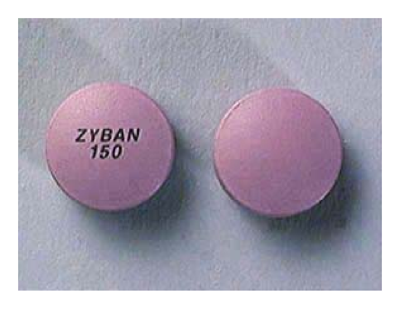# $ZYBAN$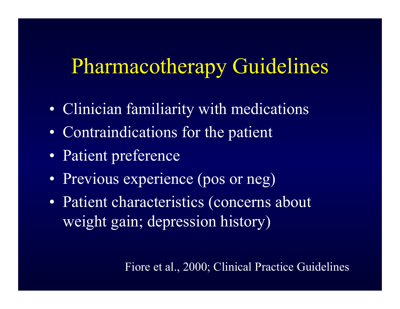### Pharmacotherapy Guidelines

- •Clinician familiarity with medications
- •• Contraindications for the patient
- •Patient preference
- •• Previous experience (pos or neg)
- •• Patient characteristics (concerns about weight gain; depression history)

Fiore et al., 2000; Clinical Practice Guidelines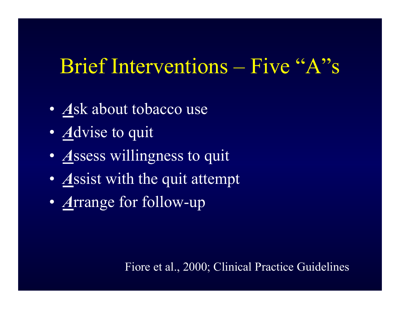#### Brief Interventions – Five "A"s

- •*A*sk about tobacco use
- •• *A*dvise to quit
- •• **Assess willingness to quit**
- •*A*ssist with the quit attempt
- •*A*rrange for follow-up

Fiore et al., 2000; Clinical Practice Guidelines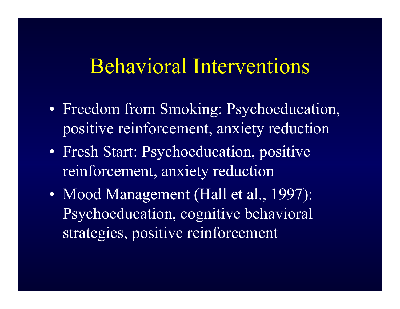#### Behavioral Interventions

- •• Freedom from Smoking: Psychoeducation, positive r einforcement, anxiety r educti o n
- •• Fresh Start: Psychoeducation, positive reinforcement, anxiety reduction
- •• Mood Management (Hall et al., 1997): Psychoeducati on, cognitive behavioral strategies, positive reinforcement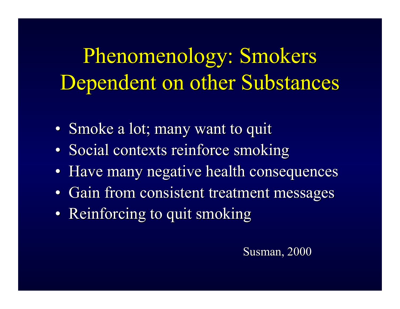Phenomenology: Smokers Dependent on other Substances

- Smoke a lot; many want to quit
- Social contexts reinforce smoking
- $\bullet$ Have many negative health consequences
- •Gain from consistent treatment messages
- Reinforcing to quit smoking

Sus man, 2000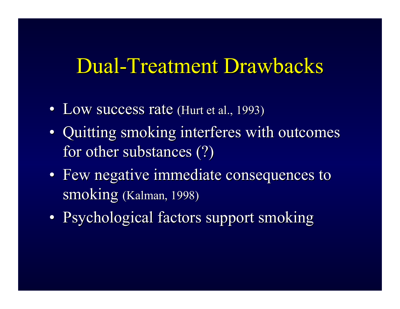#### Dual-Treatment Drawbacks

- Low success rate (Hurt et al., 1993)
- Quitting smoking interferes with outcomes for other substances  $(?)$
- Few negative immediate consequences to smoking (Kalman, 1998)
- Psychological factors support smoking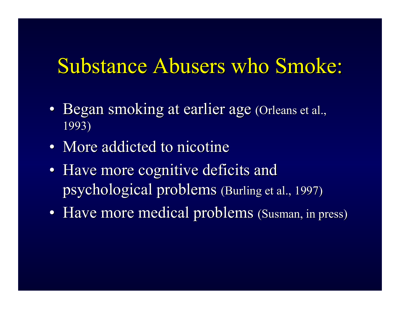#### Substance Abusers who Smoke:

- Began smoking at earlier age (Orleans et al., 1993)
- More addicted to nicotine
- Have more cognitive deficits and psychological problems (Burling et al., 1997)
- Have more medical problems (Susman, in press)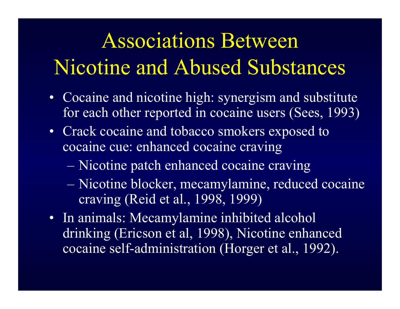# Associations Between Nicotine and Abused Substances

- Cocaine and nicotine high: synergism and substitute for each other reported in cocaine users (Sees, 1993)
- Crack cocaine and tobacco smokers exposed to cocaine cue: enhanced cocaine craving
	- Nicotine patch enhanced cocaine craving
	- Nicotine blocker, mecamylami ne, reduced cocaine craving (Reid et al., 1998, 1999)
- In animals: Mecamylamine inhibited alcohol drinking (Ericson et al, 1998), Nicotine enhanced cocaine self-administ ration (Horger et al., 1992).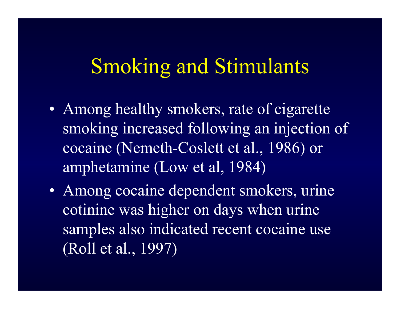#### Smoking and Stimulants

- •• Among healthy smokers, rate of cigarette smoking increased following an injection of cocaine ( Nemeth-Coslett e t al., 1986) or amphetamine ( Low et al, 1984)
- • Among cocaine dependent smokers, uri ne cotinine was higher on days when urine samples also i ndicated r ecent cocai ne use (Roll et al., 1997)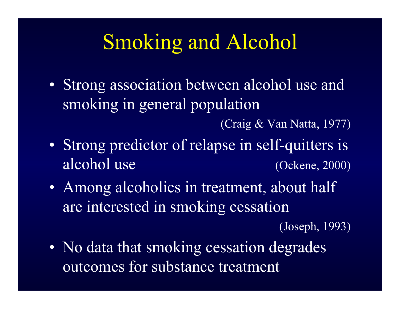### Smoking and Alcohol

• Strong associati on bet ween alcohol use and smoking in general population

(Craig & Van Natta, 1977)

- •• Strong predictor of relapse in self-quitters is alcohol use (Ockene, 2000)
- •• Among alcoholics in treatment, about half are i nterested i n s moki ng cessation

(Joseph, 1993)

•• No data that smoking cessation degrades outcomes for subst ance treatment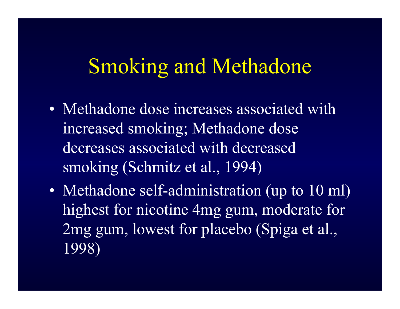#### Smoking and Methadone

- •• Methadone dose increases associated with increased smoking; Methadone dose decreases associated with decreased smoking (Schmitz et al., 1994)
- •• Methadone self-administration (up to 10 ml) highest for nicotine 4mg gum, moderate for 2mg gum, lowest for placebo ( Spiga et al., 1998)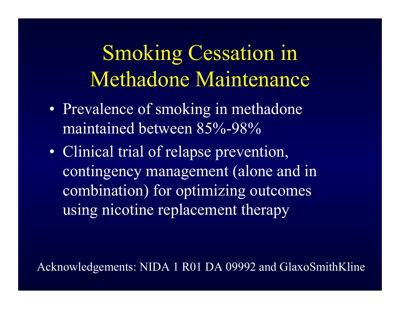**Smoking Cessation in** Methadone Maintenance

- Prevalence of smoking in methadone maintained between 85%-98%
- Clinical trial of relapse prevention, contingency management (alone and in combination) for optimizing outcomes using nicotine replacement therapy

Acknowledgements: NIDA 1 R01 DA 09992 and GlaxoSmithKline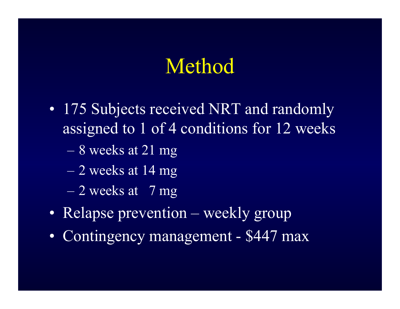### Method

- 175 Subjects received NRT and randomly assigned to 1 of 4 conditions for 12 weeks
	- 8 weeks at 21 mg
	- 2 weeks at 14 mg
	- 2 weeks at 7 mg
- Relapse prevention weekly group
- $\bullet$ Contingency management - \$447 max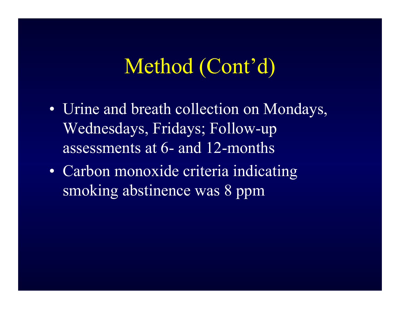### Method (Cont'd)

- •• Urine and breath collection on Mondays, Wednesdays, Fri days; F ollow-up assessments at 6- and 12-months
- $\bullet$ • Carbon monoxide criteria indicating smoking abstinence was 8 ppm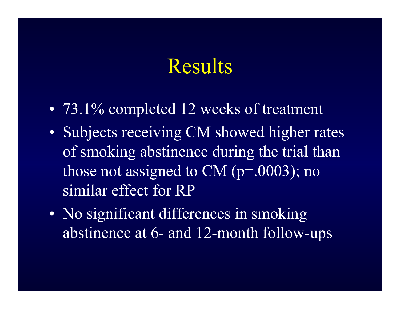#### **Results**

- 73.1% completed 12 weeks of treatment
- Subjects receiving CM showed higher rates of smoking abstinence during the trial than those not assigned to  $CM$  (p=.0003); no similar effect for RP
- No significant differences in smoking abstinence at 6- and 12-month follow-ups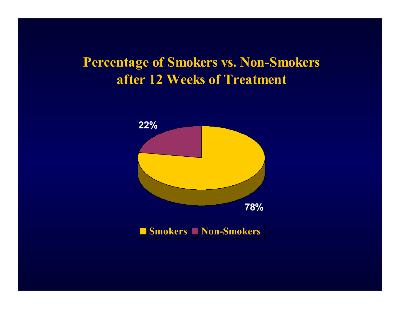#### **Percentage of Smokers vs. Non-Smokers after 12 Weeks of Treatment**

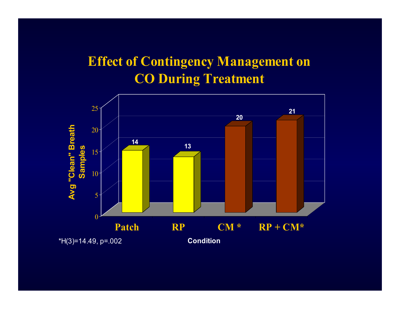#### **Effect of Contingency Management on CO During Treatment**

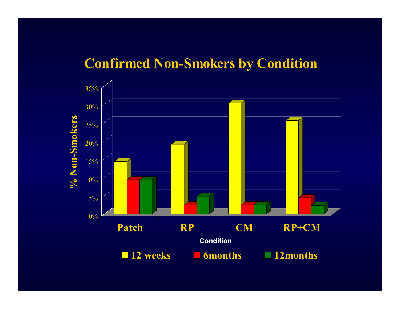#### **Confirmed Non-Smokers by Condition**

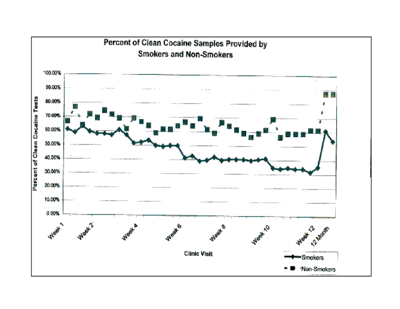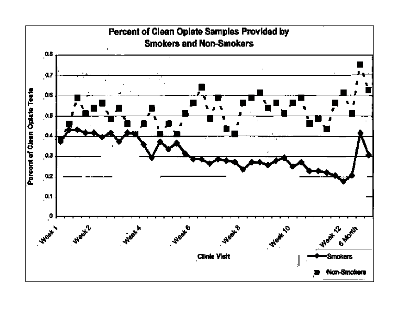#### **Percent of Clean Oplate Samples Provided by Smokers and Non-Smokers**

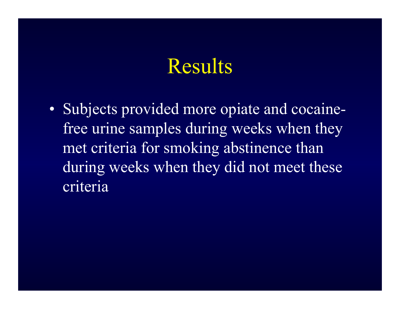#### **Results**

• Subjects provided more opiate and cocainefree urine samples during weeks when they met criteria for smoking abstinence than during weeks when they did not meet these criteria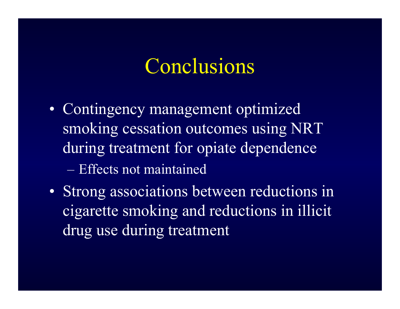#### Conclusions

- Contingency management optimized smoking cessation outcomes using NRT during treatment for opiate dependence – Effects not maintained
- Strong associations between reductions in cigarette smoking and reductions in illicit drug use during treatment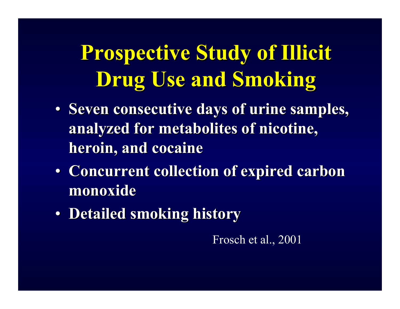# **Prospective Study of Illicit Prospective Study of Illicit Drug Use and Smoking Drug Use and Smoking**

- **Seven consecutive days of urine samples,** analyzed for metabolites of nicotine, **heroin, and cocaine**
- **Concurrent collection of expired carbon monoxide**
- **Detailed smoking history Detailed smoking history**

Frosch et al., 2001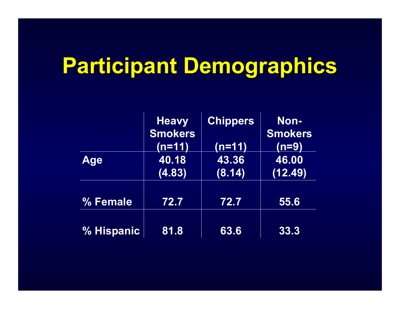# **Participant Demographics Participant Demographics**

|            | <b>Heavy</b><br><b>Smokers</b><br><u>(n=11)</u> | <b>Chippers</b><br><u>(n=11)</u> | Non-<br><b>Smokers</b><br><u>(n=9)</u> |
|------------|-------------------------------------------------|----------------------------------|----------------------------------------|
| <b>Age</b> | 40.18<br>(4.83)                                 | 43.36<br>(8.14)                  | 46.00<br>(12.49)                       |
| % Female   | 72.7                                            | 72.7                             | 55.6                                   |
| % Hispanic | 81.8                                            | 63.6                             | 33.3                                   |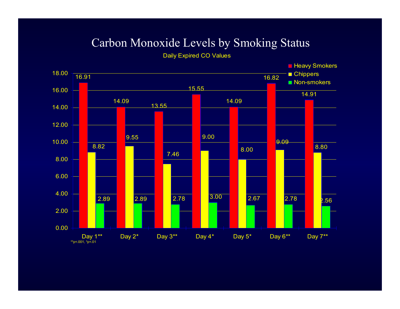#### Carbon Monoxide Levels by Smoking Status

Daily Expired CO Values

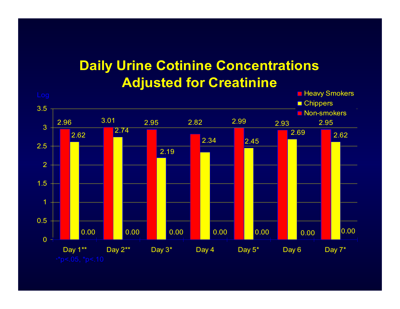#### **Daily Urine Cotinine Concentrations Adjusted for Creatinine**

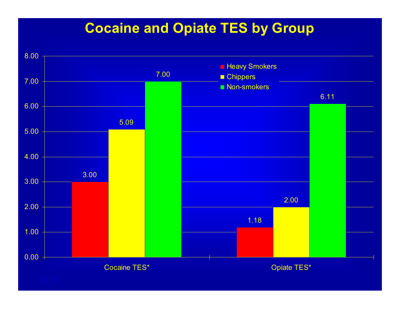#### **Cocaine and Opiate TES by Group**

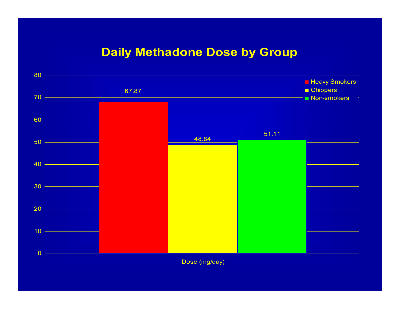#### **Daily Methadone Dose by Group**



Dose (mg/day)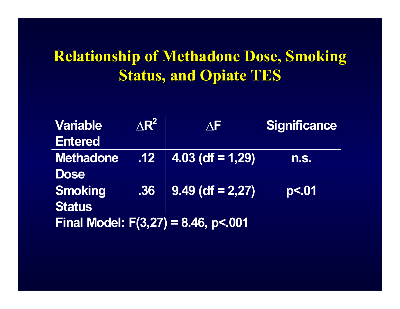#### **Relationship of Methadone Dose, Smoking Status, and Opiate TES**

| <b>Variable</b>                        | $\Delta$ R <sup>2</sup> | $\Lambda$ F         | <b>Significance</b> |  |  |
|----------------------------------------|-------------------------|---------------------|---------------------|--|--|
| <b>Entered</b>                         |                         |                     |                     |  |  |
| <b>Methadone</b>                       | .12                     | $ 4.03$ (df = 1,29) | n.S.                |  |  |
| <b>Dose</b>                            |                         |                     |                     |  |  |
| <b>Smoking</b>                         | .36                     | $9.49$ (df = 2,27)  | p<.01               |  |  |
| <b>Status</b>                          |                         |                     |                     |  |  |
| Final Model: $F(3,27) = 8.46$ , p<.001 |                         |                     |                     |  |  |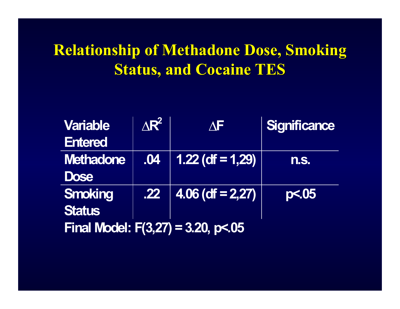#### **Relationship of Methadone Dose, Smoking Status, and Cocaine TES**

| Variable                             | $\overline{\Delta R^2}$ | $\Lambda$ F                      | Significance |  |  |
|--------------------------------------|-------------------------|----------------------------------|--------------|--|--|
| <b>Entered</b>                       |                         |                                  |              |  |  |
| <b>Methadone</b>                     | .04                     | $\ $ 1.22 (df = 1,29)            | n.s.         |  |  |
| <b>Dose</b>                          |                         |                                  |              |  |  |
| Smoking                              |                         | $\overline{22}$ 4.06 (df = 2,27) | pc.05        |  |  |
| <b>Status</b>                        |                         |                                  |              |  |  |
| Final Model: $F(3,27) = 3.20, p<.05$ |                         |                                  |              |  |  |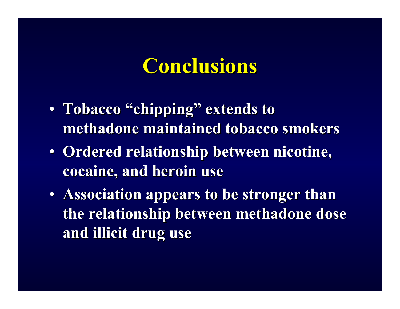#### **Conclusions Conclusions**

- **Tobacco "chipping" extends to**  $\bf{methadone\ main\ tained\ to\ bacco\ smokers}$
- **Ordered relationship between nicotine, cocaine, and heroin use**
- Association appears to be stronger than **the relationship between methadone dose and illicit drug use and illicit drug use**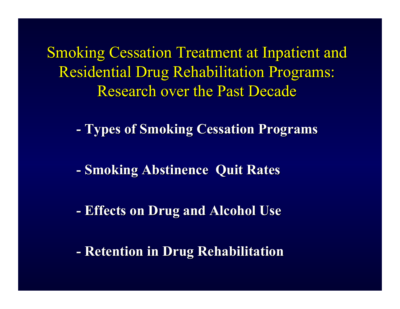**Smoking Cessation Treatment at Inpatient and** Residential Drug Rehabilitation Programs: Research over the Past Decade

- **-Types of Smoking Cessation Programs Types of Smoking Cessation Programs**
- **Smoking Abstinence Quit Rates**
- **-Effects on Drug and Alcohol Use Effects on Drug and Alcohol Use**
- **-Retention in Drug Rehabilitation Retention in Drug Rehabilitation**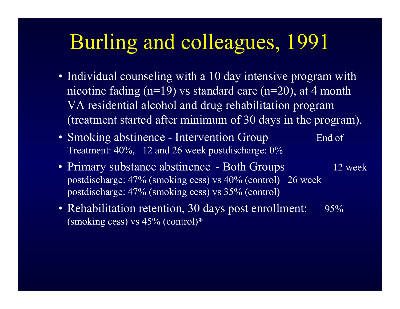### Burling and colleagues, 1991

- Individual counseling with a 10 day intensive program with nicotine fading (n=19) vs standard care (n=20), at 4 month VA residen tial alcohol and drug rehabilitation program (treatment started after minimum of 30 days in the program).
- Smoking abstinence Intervention Group End ofTreatment: 40%, 12 and 26 week postdischarge: 0%
- Prim ary substance abstinence - Both Groups 12 w 12 week postdischarge: 47% (smoking cess) vs 40% (control) 26 week postdischarge: 47% (smoking cess) vs 35% (control)
- Rehabilitation retention, 30 days post enrollment: 95% (smoking cess) vs 45% (control)\*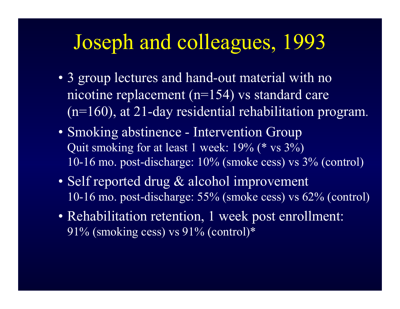### Joseph and colleagues, 1993

- 3 group lectures and hand-out m aterial with no nicotine replacement (n=154) vs standard c are (n=160), at 21-day residential rehabilitat ion progra m.
- S moking abstinence Intervention Group Quit smoking for at least 1 week: 19% (\* vs 3%) 10-16 mo. post-discharge: 10% (s moke cess) vs 3% (control)
- Self reported drug & alcohol improvem ent 10-16 mo. post-discharge: 55% (s moke cess) vs 62% (control)
- Rehabilitation retention, 1 week post enrollment: 91% (smoking cess) vs 91% (control)\*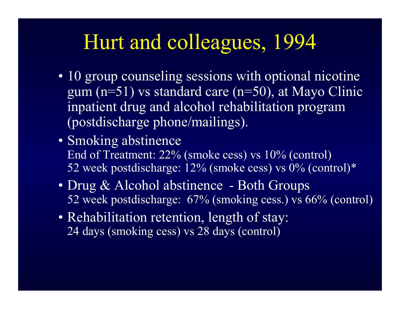### Hurt and colleagues, 1994

- 10 group counseling sessions with optional nicotine gum (n=51) vs standard care (n=50), at Mayo Clinic inpat ient drug and alcohol rehabilitat ion program (postdisc harge phone/m ailings).
- Smoking abstinence End of Treatment: 22% (smoke cess) vs 10% (control) 52 week postdischarge: 12% (smoke cess) vs 0% (control)\*
- Drug & Alcohol abstinence Both Groups 52 week postdischarge: 67% (s moking cess.) v s 66% (control)
- Rehabilitat ion retention, length of stay: 24 days (smoking cess) vs 28 days (control)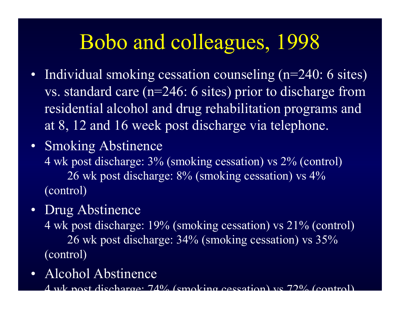### Bobo and colleagues, 1998

- Individual smoking cessation counseling (n=240: 6 sites) vs. standard care (n=246: 6 sites) prior to discharge from residential alcohol and drug rehabilitation programs and at 8, 12 and 16 week post discharge via telephone.
- Smoking Abstinence 4 wk post discharge: 3% (smoking cessation) vs 2% (control) 26 wk post discharge: 8% (smoking cessation) vs 4% (control)
- Drug Abstinence

4 wk post discharge: 19% (smoking cessation) vs 21% (control) 26 wk post discharge: 34% (smoking cessation) vs 35% (control)

• Alcohol Abstinence

 $4$  wk post discharge:  $74\%$  (smoking cessation) vs  $72\%$  (control)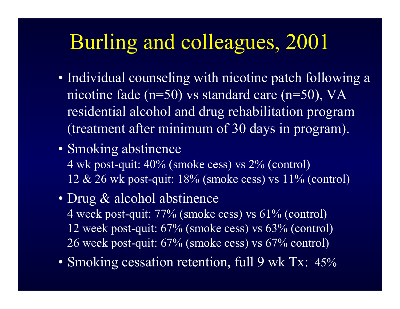### Burling and colleagues, 2001

- Individual counseling with nicotine patch following a nicotine fade (n=50) vs standard care (n=50), VA residential alcohol and drug rehabilitation program (treatment after minimum of 30 days in program).
- Smoking abstinence 4 wk post-quit: 40% (smoke cess) vs 2% (control) 12 & 26 wk post-quit: 18% (smoke cess) vs 11% (control)
- Drug & alcohol abstinence 4 week post-quit: 77% (smoke cess) vs 61% (control) 12 week post-quit: 67% (smoke cess) vs 63% (control) 26 week post-quit: 67% (smoke cess) vs 67% control)
- Smoking cessation retention, full 9 wk Tx: 45%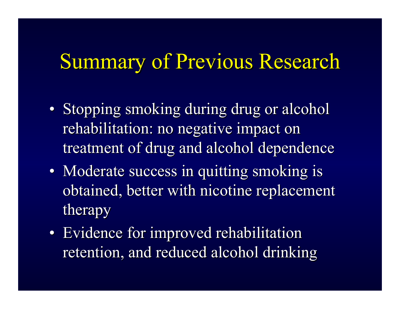### Summary of Previous Research

- Stopping smoking during drug or alcohol rehabilitation: no negative impact on treatment of drug and alcohol dependence
- Moderate success in quitting smoking is obtained, better with nicotine replacement therapy
- Evidence for improved rehabilitation retention, and reduced alcohol drinking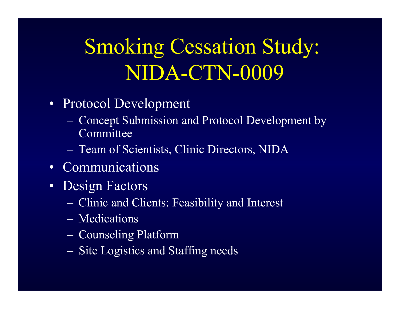# **Smoking Cessation Study:** NIDA-CTN-0009

- Protocol Development
	- Concept Submission and Protocol Development by Committee
	- Team of Scientists, Clinic Directors, NIDA
- Communications
- Design Factors
	- Clinic and Clients: Feasibility and Interest
	- Medications
	- Counseling Platform
	- Site Logistics and Staffing needs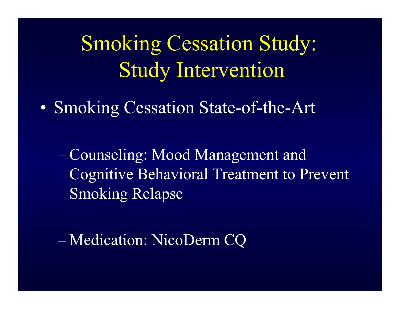Smoking Cessation Study: Study Intervention

 $\bullet$ Smoking Cessation State-of-the-Art

 Counseling: Mood Management and Cognitive Behavioral T reatment t o Prevent Smoking Relapse

Medication: NicoDerm C Q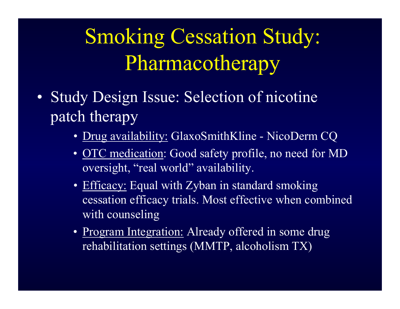# Smoking Cessation Study: Pharmacotherapy

- • Study Design Issue: Selection of nicotine patch t herapy
	- Drug availability: GlaxoSmithKline NicoDerm CQ
	- <u>OTC medication</u>: Good safety profile, no need for MD oversight, "real world" availability.
	- Efficacy: Equal with Zyban in standard smoking cessation efficacy trials. Most effective when co mbined with counseling
	- Program Integration: Already offered in some drug rehabilitation settings (MMTP, alcoholism TX)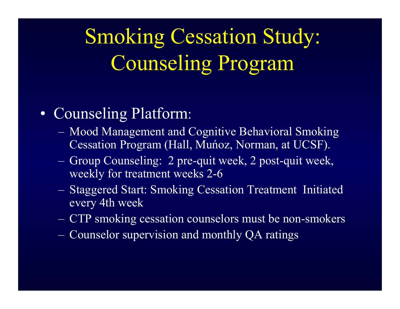# Smoking Cessation Study: Counseling Program

#### •Counseli ng Platform:

- Mood Managem ent and Cognitive Behavioral S moking Cessation Program (Hall, Mu ńoz, Norman, at UCSF).
- Group Counseling: 2 pre-quit week, 2 post-quit week, weekly for treatment weeks 2-6
- Staggered Start: Smoking Cessation Treatment Initiated every 4 th week
- CTP s moking cessation counselors must be non-smokers
- Counselor supervision and monthly QA ratings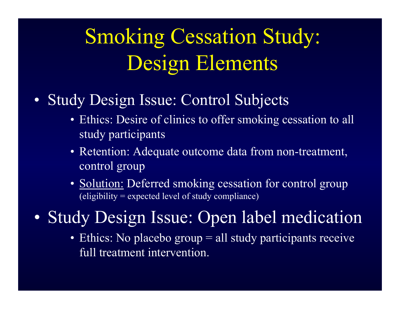# Smoking Cessation Study: Design Elements

- •Study Design Issue: Contr ol Subject s
	- Ethics: Desire of clinics to offer smoking cessation to all study participants
	- Retention: Adequate outcome data from non-treatment, control group
	- Solution: Deferred smoking cessation for control group (eligibility = expected level of study compliance)

 $\bullet$ Study Design Issue: Open label medication

> • Ethics: No placebo group = all study participants receive full treatment intervention.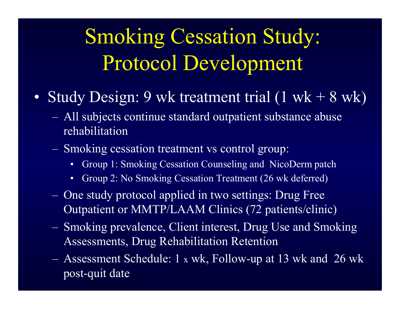# Smoking Cessation Study: Protocol Development

- •• Study Design: 9 wk treatment trial (1 wk + 8 wk)
	- All subjects continue standard outpatient substance abuse rehabilitation
	- S moking cessation treatm ent vs control group:
		- •Grou p 1: Smoking Cessation Counseling and NicoDer m patch
		- $\bullet$ Group 2: No Smoking Cessation Treatment (26 wk deferred)
	- One study protocol applied in two settings: Drug Free Outpatient or MMTP/LAAM Clinics (72 patients/clinic)
	- S moking prevalence, C lient interest, Drug Use and Smoking Assess m ents, Drug Rehabilitation Retention
	- Assess m ent Schedule: 1 x wk, Follow-up at 13 wk and 26 wk post-quit date